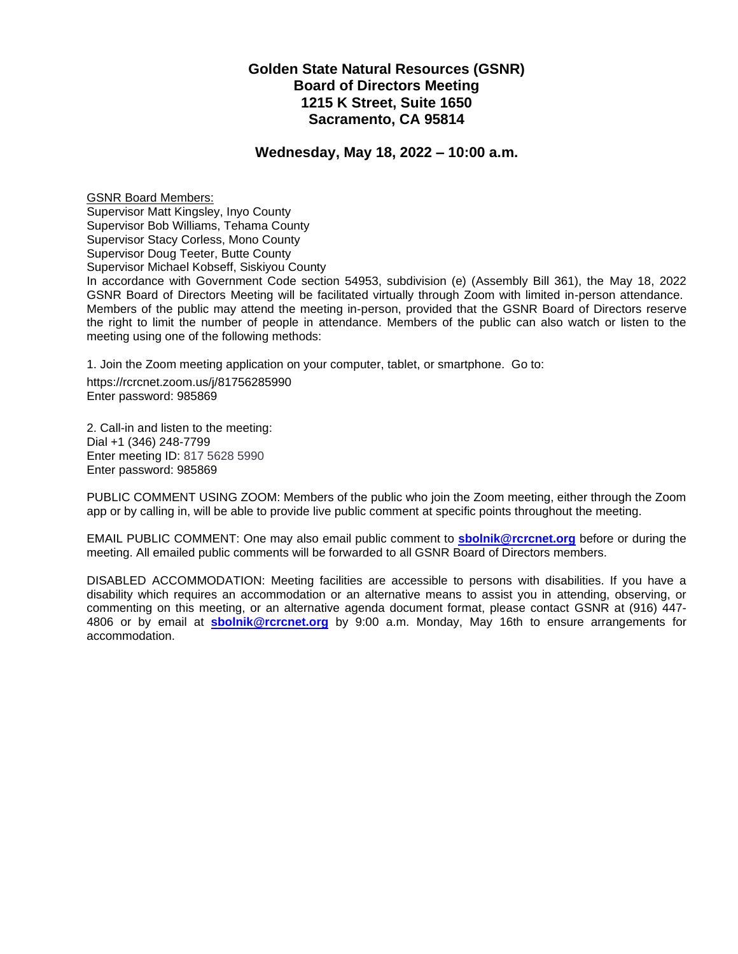# **Golden State Natural Resources (GSNR) Board of Directors Meeting 1215 K Street, Suite 1650 Sacramento, CA 95814**

### **Wednesday, May 18, 2022 – 10:00 a.m.**

GSNR Board Members: Supervisor Matt Kingsley, Inyo County Supervisor Bob Williams, Tehama County Supervisor Stacy Corless, Mono County Supervisor Doug Teeter, Butte County Supervisor Michael Kobseff, Siskiyou County In accordance with Government Code section 54953, subdivision (e) (Assembly Bill 361), the May 18, 2022 GSNR Board of Directors Meeting will be facilitated virtually through Zoom with limited in-person attendance. Members of the public may attend the meeting in-person, provided that the GSNR Board of Directors reserve the right to limit the number of people in attendance. Members of the public can also watch or listen to the meeting using one of the following methods:

1. Join the Zoom meeting application on your computer, tablet, or smartphone. Go to:

https://rcrcnet.zoom.us/j/81756285990 Enter password: 985869

2. Call-in and listen to the meeting: Dial +1 (346) 248-7799 Enter meeting ID: 817 5628 5990 Enter password: 985869

PUBLIC COMMENT USING ZOOM: Members of the public who join the Zoom meeting, either through the Zoom app or by calling in, will be able to provide live public comment at specific points throughout the meeting.

EMAIL PUBLIC COMMENT: One may also email public comment to **[sbolnik@rcrcnet.org](mailto:sbolnik@rcrcnet.org)** before or during the meeting. All emailed public comments will be forwarded to all GSNR Board of Directors members.

DISABLED ACCOMMODATION: Meeting facilities are accessible to persons with disabilities. If you have a disability which requires an accommodation or an alternative means to assist you in attending, observing, or commenting on this meeting, or an alternative agenda document format, please contact GSNR at (916) 447- 4806 or by email at **sbolni[k@rcrcnet.org](mailto:mchui@rcrcnet.org)** by 9:00 a.m. Monday, May 16th to ensure arrangements for accommodation.